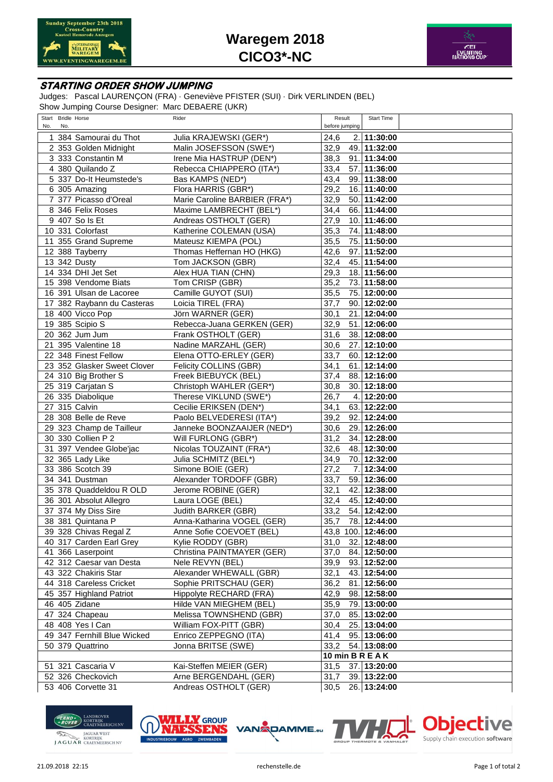



## **STARTING ORDER SHOW JUMPING**

Judges: Pascal LAURENÇON (FRA) · Geneviève PFISTER (SUI) · Dirk VERLINDEN (BEL) Show Jumping Course Designer: Marc DEBAERE (UKR)

| Start Bridle Horse          | Rider                         | Result<br>Start Time       |
|-----------------------------|-------------------------------|----------------------------|
| No.<br>No.                  |                               | before jumping             |
| 1 384 Samourai du Thot      | Julia KRAJEWSKI (GER*)        | 2. 11:30:00<br>24,6        |
|                             |                               |                            |
| 2 353 Golden Midnight       | Malin JOSEFSSON (SWE*)        | 32,9<br>49. 11:32:00       |
| 3 333 Constantin M          | Irene Mia HASTRUP (DEN*)      | 38,3<br>91. 11:34:00       |
| 4 380 Quilando Z            | Rebecca CHIAPPERO (ITA*)      | 33,4<br>57. 11:36:00       |
| 5 337 Do-It Heumstede's     | Bas KAMPS (NED*)              | 43,4<br>99. 11:38:00       |
| 6 305 Amazing               | Flora HARRIS (GBR*)           | 29,2<br>16. 11:40:00       |
| 7 377 Picasso d'Oreal       | Marie Caroline BARBIER (FRA*) | 32,9<br>50. 11:42:00       |
| 8 346 Felix Roses           | Maxime LAMBRECHT (BEL*)       | 34,4<br>66. 11:44:00       |
| $\overline{9}$ 407 So Is Et | Andreas OSTHOLT (GER)         | 27,9<br>10. 11:46:00       |
| 10 331 Colorfast            | Katherine COLEMAN (USA)       | 35,3<br>74. 11:48:00       |
| 11 355 Grand Supreme        | Mateusz KIEMPA (POL)          | 35,5<br>75. 11:50:00       |
| 12 388 Tayberry             | Thomas Heffernan HO (HKG)     | 42,6<br>97. 11:52:00       |
| 13 342 Dusty                | Tom JACKSON (GBR)             | 32,4<br>45. 11:54:00       |
|                             |                               | 29,3                       |
| 14 334 DHI Jet Set          | Alex HUA TIAN (CHN)           | 18. 11:56:00               |
| 15 398 Vendome Biats        | Tom CRISP (GBR)               | 35,2<br>73. 11:58:00       |
| 16 391 Ulsan de Lacoree     | Camille GUYOT (SUI)           | 35,5<br>12:00:00<br>75.    |
| 17 382 Raybann du Casteras  | Loicia TIREL (FRA)            | 37,7<br>90. 12:02:00       |
| 18 400 Vicco Pop            | Jörn WARNER (GER)             | 30,1<br>21.<br>12:04:00    |
| 19 385 Scipio S             | Rebecca-Juana GERKEN (GER)    | 32,9<br>51. 12:06:00       |
| 20 362 Jum Jum              | Frank OSTHOLT (GER)           | 31,6<br>38. 12:08:00       |
| 21 395 Valentine 18         | Nadine MARZAHL (GER)          | 30,6<br>27. 12:10:00       |
| 22 348 Finest Fellow        | Elena OTTO-ERLEY (GER)        | 33,7<br>60. 12:12:00       |
| 23 352 Glasker Sweet Clover | Felicity COLLINS (GBR)        | 34,1<br>61. 12:14:00       |
| 24 310 Big Brother S        | Freek BIEBUYCK (BEL)          | 37,4<br>88. 12:16:00       |
| 25 319 Carjatan S           | Christoph WAHLER (GER*)       | 30,8<br>30. 12:18:00       |
| 26 335 Diabolique           | Therese VIKLUND (SWE*)        | 26,7<br>4. 12:20:00        |
| 27 315 Calvin               | Cecilie ERIKSEN (DEN*)        | 34,1<br>63. 12:22:00       |
|                             | Paolo BELVEDERESI (ITA*)      |                            |
| 28 308 Belle de Reve        |                               | 39,2<br>92. 12:24:00       |
| 29 323 Champ de Tailleur    | Janneke BOONZAAIJER (NED*)    | 30,6<br>29. 12:26:00       |
| 30 330 Collien P 2          | Will FURLONG (GBR*)           | 31,2<br>34. 12:28:00       |
| 31 397 Vendee Globe'jac     | Nicolas TOUZAINT (FRA*)       | 32,6<br>48. 12:30:00       |
| 32 365 Lady Like            | Julia SCHMITZ (BEL*)          | 34,9<br>70.<br>12:32:00    |
| 33 386 Scotch 39            | Simone BOIE (GER)             | 27,2<br>7.<br>12:34:00     |
| 34 341 Dustman              | Alexander TORDOFF (GBR)       | 33,7<br>59. 12:36:00       |
| 35 378 Quaddeldou R OLD     | Jerome ROBINE (GER)           | 32,1<br>42. 12:38:00       |
| 36 301 Absolut Allegro      | Laura LOGE (BEL)              | 32,4<br>45. 12:40:00       |
| 37 374 My Diss Sire         | Judith BARKER (GBR)           | 33,2<br>54. 12:42:00       |
| 38 381 Quintana P           | Anna-Katharina VOGEL (GER)    | 78. 12:44:00<br>35,7       |
| 39 328 Chivas Regal Z       | Anne Sofie COEVOET (BEL)      | 43,8 100. 1 <b>2:46:00</b> |
| 40 317 Carden Earl Grey     | Kylie RODDY (GBR)             | 32. 12:48:00<br>31,0       |
| 41 366 Laserpoint           | Christina PAINTMAYER (GER)    | 37,0<br>84. 12:50:00       |
| 42 312 Caesar van Desta     | Nele REVYN (BEL)              | 93. 12:52:00<br>39,9       |
| 43 322 Chakiris Star        | Alexander WHEWALL (GBR)       | 43. 12:54:00<br>32,1       |
| 44 318 Careless Cricket     | Sophie PRITSCHAU (GER)        | 81. 12:56:00<br>36,2       |
| 45 357 Highland Patriot     | Hippolyte RECHARD (FRA)       | 42,9<br>98. 12:58:00       |
| 46 405 Zidane               | Hilde VAN MIEGHEM (BEL)       | 35,9<br>79. 13:00:00       |
|                             |                               |                            |
| 47 324 Chapeau              | Melissa TOWNSHEND (GBR)       | 85. 13:02:00<br>37,0       |
| 48 408 Yes I Can            | William FOX-PITT (GBR)        | 25. 13:04:00<br>30,4       |
| 49 347 Fernhill Blue Wicked | Enrico ZEPPEGNO (ITA)         | 95. 13:06:00<br>41,4       |
| 50 379 Quattrino            | Jonna BRITSE (SWE)            | 33,2<br>54. 13:08:00       |
|                             |                               | <b>10 min B R E A K</b>    |
| 51 321 Cascaria V           | Kai-Steffen MEIER (GER)       | 37. 13:20:00<br>31,5       |
| 52 326 Checkovich           | Arne BERGENDAHL (GER)         | 39. 13:22:00<br>31,7       |
| 53 406 Corvette 31          | Andreas OSTHOLT (GER)         | 26. 13:24:00<br>30,5       |